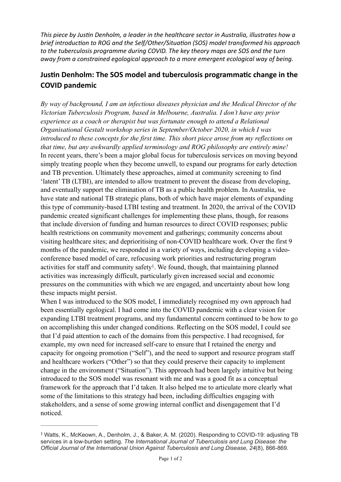*This piece by Justin Denholm, a leader in the healthcare sector in Australia, illustrates how a brief introduction to ROG and the Self/Other/Situation (SOS) model transformed his approach to the tuberculosis programme during COVID. The key theory maps are SOS and the turn away* from a constrained egological approach to a more emergent ecological way of being.

## **Justin Denholm: The SOS model and tuberculosis programmatic change in the COVID pandemic**

*By way of background, I am an infectious diseases physician and the Medical Director of the Victorian Tuberculosis Program, based in Melbourne, Australia. I don't have any prior experience as a coach or therapist but was fortunate enough to attend a Relational Organisational Gestalt workshop series in September/October 2020, in which I was introduced to these concepts for the first time. This short piece arose from my reflections on that time, but any awkwardly applied terminology and ROG philosophy are entirely mine!*  In recent years, there's been a major global focus for tuberculosis services on moving beyond simply treating people when they become unwell, to expand our programs for early detection and TB prevention. Ultimately these approaches, aimed at community screening to find 'latent' TB (LTBI), are intended to allow treatment to prevent the disease from developing, and eventually support the elimination of TB as a public health problem. In Australia, we have state and national TB strategic plans, both of which have major elements of expanding this type of community-based LTBI testing and treatment. In 2020, the arrival of the COVID pandemic created significant challenges for implementing these plans, though, for reasons that include diversion of funding and human resources to direct COVID responses; public health restrictions on community movement and gatherings; community concerns about visiting healthcare sites; and deprioritising of non-COVID healthcare work. Over the first 9 months of the pandemic, we responded in a variety of ways, including developing a videoconference based model of care, refocusing work priorities and restructuring program activities for staff and community safety<sup>1</sup>[.](#page-0-0) We found, though, that maintaining planned activities was increasingly difficult, particularly given increased social and economic pressures on the communities with which we are engaged, and uncertainty about how long these impacts might persist.

<span id="page-0-1"></span>When I was introduced to the SOS model, I immediately recognised my own approach had been essentially egological. I had come into the COVID pandemic with a clear vision for expanding LTBI treatment programs, and my fundamental concern continued to be how to go on accomplishing this under changed conditions. Reflecting on the SOS model, I could see that I'd paid attention to each of the domains from this perspective. I had recognised, for example, my own need for increased self-care to ensure that I retained the energy and capacity for ongoing promotion ("Self"), and the need to support and resource program staff and healthcare workers ("Other") so that they could preserve their capacity to implement change in the environment ("Situation"). This approach had been largely intuitive but being introduced to the SOS model was resonant with me and was a good fit as a conceptual framework for the approach that I'd taken. It also helped me to articulate more clearly what some of the limitations to this strategy had been, including difficulties engaging with stakeholders, and a sense of some growing internal conflict and disengagement that I'd noticed.

<span id="page-0-0"></span>Watts, K., McKeown, A., Denholm, J., & Baker, A. M. (2020). Responding to COVID-19: adjusting TB [1](#page-0-1) services in a low-burden setting. *The International Journal of Tuberculosis and Lung Disease: the Official Journal of the International Union Against Tuberculosis and Lung Disease*, *24*(8), 866-869.